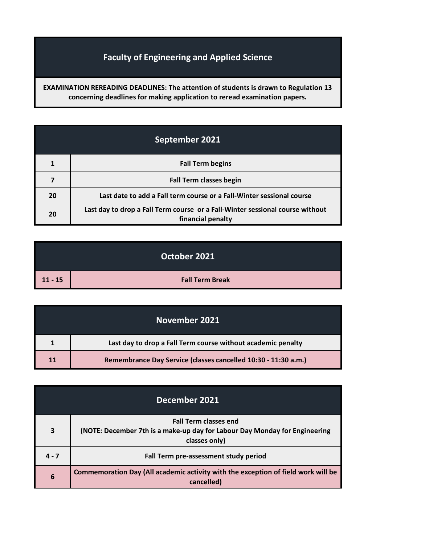## **Faculty of Engineering and Applied Science**

**EXAMINATION REREADING DEADLINES: The attention of students is drawn to Regulation 13 concerning deadlines for making application to reread examination papers.**

| September 2021 |                                                                                                    |
|----------------|----------------------------------------------------------------------------------------------------|
|                | <b>Fall Term begins</b>                                                                            |
|                | <b>Fall Term classes begin</b>                                                                     |
| 20             | Last date to add a Fall term course or a Fall-Winter sessional course                              |
| 20             | Last day to drop a Fall Term course or a Fall-Winter sessional course without<br>financial penalty |

|           | October 2021           |
|-----------|------------------------|
| $11 - 15$ | <b>Fall Term Break</b> |

|    | November 2021                                                  |
|----|----------------------------------------------------------------|
|    | Last day to drop a Fall Term course without academic penalty   |
| 11 | Remembrance Day Service (classes cancelled 10:30 - 11:30 a.m.) |

| December 2021 |                                                                                                                             |
|---------------|-----------------------------------------------------------------------------------------------------------------------------|
| 3             | <b>Fall Term classes end</b><br>(NOTE: December 7th is a make-up day for Labour Day Monday for Engineering<br>classes only) |
| $4 - 7$       | Fall Term pre-assessment study period                                                                                       |
| 6             | Commemoration Day (All academic activity with the exception of field work will be<br>cancelled)                             |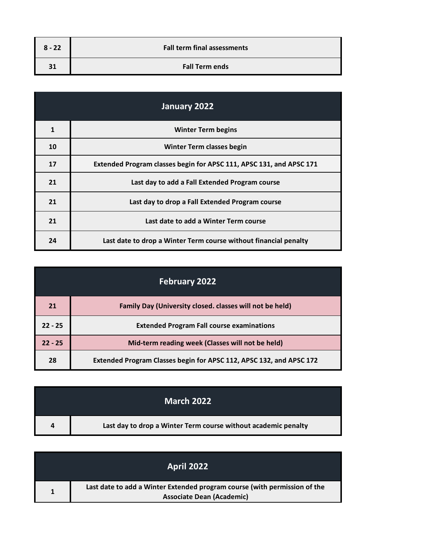| $8 - 22$ | <b>Fall term final assessments</b> |
|----------|------------------------------------|
|          | <b>Fall Term ends</b>              |

| January 2022 |                                                                     |
|--------------|---------------------------------------------------------------------|
| 1            | <b>Winter Term begins</b>                                           |
| 10           | Winter Term classes begin                                           |
| 17           | Extended Program classes begin for APSC 111, APSC 131, and APSC 171 |
| 21           | Last day to add a Fall Extended Program course                      |
| 21           | Last day to drop a Fall Extended Program course                     |
| 21           | Last date to add a Winter Term course                               |
| 24           | Last date to drop a Winter Term course without financial penalty    |

| <b>February 2022</b> |                                                                     |
|----------------------|---------------------------------------------------------------------|
| 21                   | Family Day (University closed. classes will not be held)            |
| $22 - 25$            | <b>Extended Program Fall course examinations</b>                    |
| $22 - 25$            | Mid-term reading week (Classes will not be held)                    |
| 28                   | Extended Program Classes begin for APSC 112, APSC 132, and APSC 172 |

|   | <b>March 2022</b>                                              |
|---|----------------------------------------------------------------|
| 4 | Last day to drop a Winter Term course without academic penalty |

| <b>April 2022</b>                                                                                             |
|---------------------------------------------------------------------------------------------------------------|
| Last date to add a Winter Extended program course (with permission of the<br><b>Associate Dean (Academic)</b> |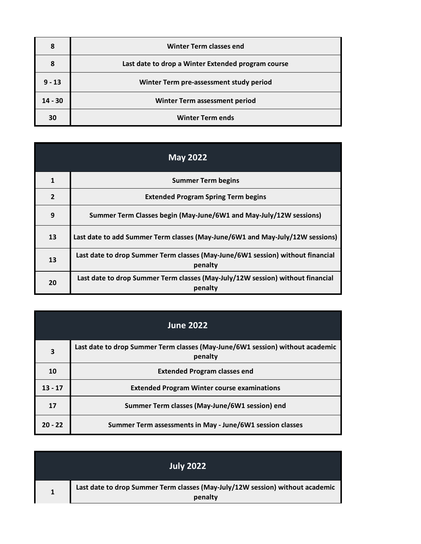| 8         | Winter Term classes end                            |
|-----------|----------------------------------------------------|
| 8         | Last date to drop a Winter Extended program course |
| $9 - 13$  | Winter Term pre-assessment study period            |
| $14 - 30$ | Winter Term assessment period                      |
| 30        | <b>Winter Term ends</b>                            |

| <b>May 2022</b> |                                                                                           |
|-----------------|-------------------------------------------------------------------------------------------|
| 1               | <b>Summer Term begins</b>                                                                 |
| $\overline{2}$  | <b>Extended Program Spring Term begins</b>                                                |
| 9               | Summer Term Classes begin (May-June/6W1 and May-July/12W sessions)                        |
| 13              | Last date to add Summer Term classes (May-June/6W1 and May-July/12W sessions)             |
| 13              | Last date to drop Summer Term classes (May-June/6W1 session) without financial<br>penalty |
| 20              | Last date to drop Summer Term classes (May-July/12W session) without financial<br>penalty |

|           | <b>June 2022</b>                                                                         |
|-----------|------------------------------------------------------------------------------------------|
| 3         | Last date to drop Summer Term classes (May-June/6W1 session) without academic<br>penalty |
| 10        | <b>Extended Program classes end</b>                                                      |
| $13 - 17$ | <b>Extended Program Winter course examinations</b>                                       |
| 17        | Summer Term classes (May-June/6W1 session) end                                           |
| $20 - 22$ | Summer Term assessments in May - June/6W1 session classes                                |

| <b>July 2022</b>                                                                         |
|------------------------------------------------------------------------------------------|
| Last date to drop Summer Term classes (May-July/12W session) without academic<br>penalty |